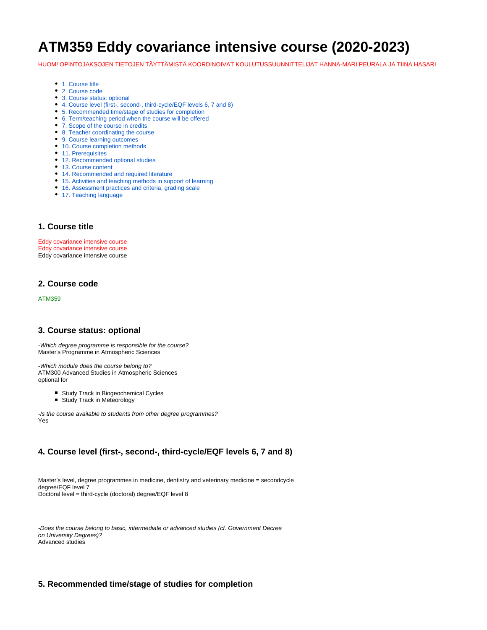# **ATM359 Eddy covariance intensive course (2020-2023)**

HUOM! OPINTOJAKSOJEN TIETOJEN TÄYTTÄMISTÄ KOORDINOIVAT KOULUTUSSUUNNITTELIJAT HANNA-MARI PEURALA JA TIINA HASARI

- [1. Course title](#page-0-0)
- [2. Course code](#page-0-1)
- [3. Course status: optional](#page-0-2)
- [4. Course level \(first-, second-, third-cycle/EQF levels 6, 7 and 8\)](#page-0-3)
- [5. Recommended time/stage of studies for completion](#page-0-4)
- [6. Term/teaching period when the course will be offered](#page-1-0)
- [7. Scope of the course in credits](#page-1-1)
- [8. Teacher coordinating the course](#page-1-2)
- [9. Course learning outcomes](#page-1-3)
- [10. Course completion methods](#page-1-4)
- [11. Prerequisites](#page-1-5)
- [12. Recommended optional studies](#page-1-6)
- [13. Course content](#page-1-7)
- [14. Recommended and required literature](#page-1-8)
- [15. Activities and teaching methods in support of learning](#page-1-9)
- [16. Assessment practices and criteria, grading scale](#page-1-10)
- [17. Teaching language](#page-2-0)

### <span id="page-0-0"></span>**1. Course title**

Eddy covariance intensive course Eddy covariance intensive course Eddy covariance intensive course

# <span id="page-0-1"></span>**2. Course code**

ATM359

# <span id="page-0-2"></span>**3. Course status: optional**

-Which degree programme is responsible for the course? Master's Programme in Atmospheric Sciences

-Which module does the course belong to? ATM300 Advanced Studies in Atmospheric Sciences optional for

- **Study Track in Biogeochemical Cycles**
- Study Track in Meteorology

-Is the course available to students from other degree programmes? Yes

# <span id="page-0-3"></span>**4. Course level (first-, second-, third-cycle/EQF levels 6, 7 and 8)**

Master's level, degree programmes in medicine, dentistry and veterinary medicine = secondcycle degree/EQF level 7 Doctoral level = third-cycle (doctoral) degree/EQF level 8

-Does the course belong to basic, intermediate or advanced studies (cf. Government Decree on University Degrees)? Advanced studies

# <span id="page-0-4"></span>**5. Recommended time/stage of studies for completion**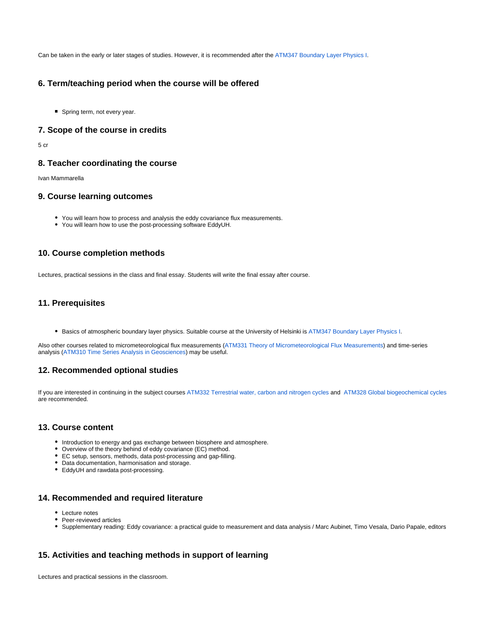Can be taken in the early or later stages of studies. However, it is recommended after the [ATM347 Boundary Layer Physics I.](https://wiki.helsinki.fi/display/opetussuunnitelma/ATM347+Boundary+Layer+Physics+I)

#### <span id="page-1-0"></span>**6. Term/teaching period when the course will be offered**

Spring term, not every year.

#### <span id="page-1-1"></span>**7. Scope of the course in credits**

5 cr

#### <span id="page-1-2"></span>**8. Teacher coordinating the course**

Ivan Mammarella

#### <span id="page-1-3"></span>**9. Course learning outcomes**

- You will learn how to process and analysis the eddy covariance flux measurements.
- You will learn how to use the post-processing software EddyUH.

#### <span id="page-1-4"></span>**10. Course completion methods**

Lectures, practical sessions in the class and final essay. Students will write the final essay after course.

#### <span id="page-1-5"></span>**11. Prerequisites**

Basics of atmospheric boundary layer physics. Suitable course at the University of Helsinki is [ATM347 Boundary Layer Physics I.](https://wiki.helsinki.fi/display/opetussuunnitelma/ATM347+Boundary+Layer+Physics+I)

Also other courses related to micrometeorological flux measurements ([ATM331 Theory of Micrometeorological Flux Measurements\)](https://wiki.helsinki.fi/display/opetussuunnitelma/ATM333+Turbulence+Theory) and time-series analysis ([ATM310 Time Series Analysis in Geosciences\)](https://wiki.helsinki.fi/display/opetussuunnitelma/ATM310+Time+Series+Analysis+in+Geosciences) may be useful.

# <span id="page-1-6"></span>**12. Recommended optional studies**

If you are interested in continuing in the subject courses [ATM332 Terrestrial water, carbon and nitrogen cycles](https://wiki.helsinki.fi/display/opetussuunnitelma/ATM332+Terrestrial+water%2C+carbon+and+nitrogen+cycles) and [ATM328 Global biogeochemical cycles](https://wiki.helsinki.fi/display/opetussuunnitelma/ATM328+Global+biogeochemical+cycles) are recommended.

#### <span id="page-1-7"></span>**13. Course content**

- Introduction to energy and gas exchange between biosphere and atmosphere.
- Overview of the theory behind of eddy covariance (EC) method.
- EC setup, sensors, methods, data post-processing and gap-filling.
- Data documentation, harmonisation and storage.
- EddyUH and rawdata post-processing.

# <span id="page-1-8"></span>**14. Recommended and required literature**

- Lecture notes
- Peer-reviewed articles
- Supplementary reading: Eddy covariance: a practical guide to measurement and data analysis / Marc Aubinet, Timo Vesala, Dario Papale, editors

# <span id="page-1-9"></span>**15. Activities and teaching methods in support of learning**

<span id="page-1-10"></span>Lectures and practical sessions in the classroom.